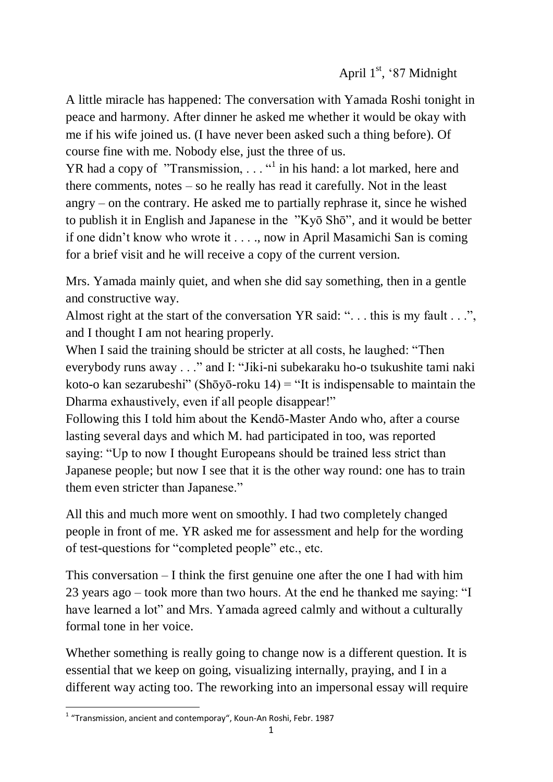A little miracle has happened: The conversation with Yamada Roshi tonight in peace and harmony. After dinner he asked me whether it would be okay with me if his wife joined us. (I have never been asked such a thing before). Of course fine with me. Nobody else, just the three of us.

YR had a copy of "Transmission,  $\dots$ " in his hand: a lot marked, here and there comments, notes – so he really has read it carefully. Not in the least angry – on the contrary. He asked me to partially rephrase it, since he wished to publish it in English and Japanese in the "Kyō Shō", and it would be better if one didn't know who wrote it . . . ., now in April Masamichi San is coming for a brief visit and he will receive a copy of the current version.

Mrs. Yamada mainly quiet, and when she did say something, then in a gentle and constructive way.

Almost right at the start of the conversation YR said: ". . . this is my fault . . .", and I thought I am not hearing properly.

When I said the training should be stricter at all costs, he laughed: "Then everybody runs away . . ." and I: "Jiki-ni subekaraku ho-o tsukushite tami naki koto-o kan sezarubeshi" (Shōyō-roku 14) = "It is indispensable to maintain the Dharma exhaustively, even if all people disappear!"

Following this I told him about the Kendō-Master Ando who, after a course lasting several days and which M. had participated in too, was reported saying: "Up to now I thought Europeans should be trained less strict than Japanese people; but now I see that it is the other way round: one has to train them even stricter than Japanese."

All this and much more went on smoothly. I had two completely changed people in front of me. YR asked me for assessment and help for the wording of test-questions for "completed people" etc., etc.

This conversation – I think the first genuine one after the one I had with him 23 years ago – took more than two hours. At the end he thanked me saying: "I have learned a lot" and Mrs. Yamada agreed calmly and without a culturally formal tone in her voice.

Whether something is really going to change now is a different question. It is essential that we keep on going, visualizing internally, praying, and I in a different way acting too. The reworking into an impersonal essay will require

 1 "Transmission, ancient and contemporay", Koun-An Roshi, Febr. 1987